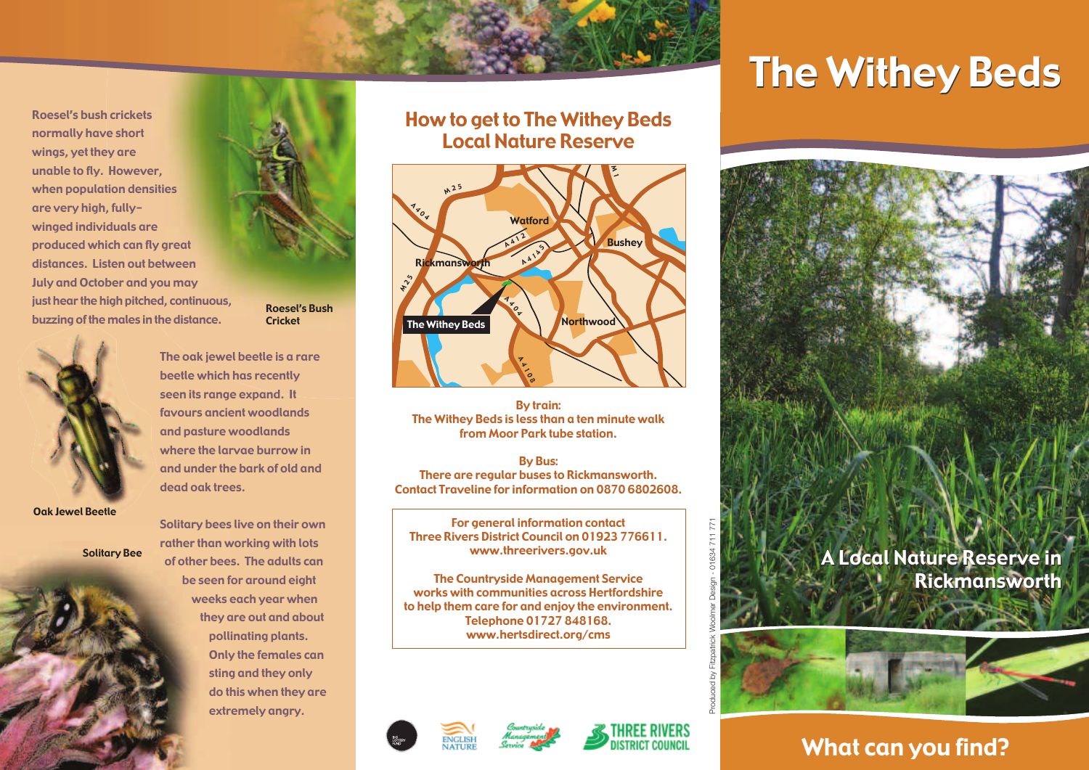Roesel's bush crickets normally have short wings, yet they are unable to fly. However, when population densities are very high, fullywinged individuals are produced which can fly great distances. Listen out between July and October and you may just hear the high pitched, continuous, buzzing of the males in the distance.



beetle which has recently seen its range expand. It favours ancient woodlands and pasture woodlands where the larvae burrow in dead oak trees.

Oak Jewel Beetle

Solitary Bee



Roesel's Bush Cricket

The oak jewel beetle is a rare and under the bark of old and

Solitary bees live on their own rather than working with lots of other bees. The adults can be seen for around eight weeks each year when they are out and about pollinating plants. Only the females can sting and they only do this when they are extremely angry.

How to get to The Withey Beds Local Nature Reserve



By train: The Withey Beds is less than a ten minute walk from Moor Park tube station.

By Bus: There are regular buses to Rickmansworth. Contact Traveline for information on 0870 6802608.

For general information contact Three Rivers District Council on 01923 776611. www.threerivers.gov.uk

The Countryside Management Service works with communities across Hertfordshire to help them care for and enjoy the environment. Telephone 01727 848168. www.hertsdirect.org/cms







**The Withey Beds** 



What can you find?